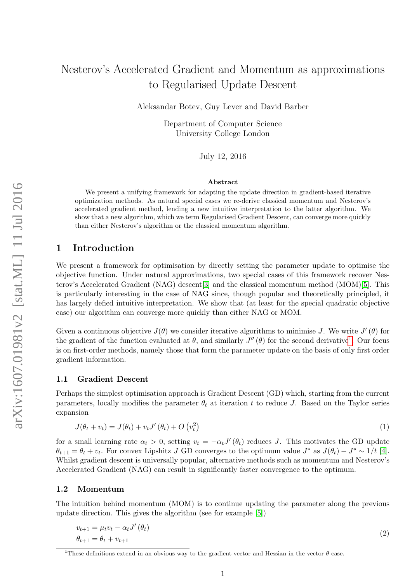# Nesterov's Accelerated Gradient and Momentum as approximations to Regularised Update Descent

Aleksandar Botev, Guy Lever and David Barber

Department of Computer Science University College London

July 12, 2016

#### Abstract

We present a unifying framework for adapting the update direction in gradient-based iterative optimization methods. As natural special cases we re-derive classical momentum and Nesterov's accelerated gradient method, lending a new intuitive interpretation to the latter algorithm. We show that a new algorithm, which we term Regularised Gradient Descent, can converge more quickly than either Nesterov's algorithm or the classical momentum algorithm.

### 1 Introduction

We present a framework for optimisation by directly setting the parameter update to optimise the objective function. Under natural approximations, two special cases of this framework recover Nesterov's Accelerated Gradient (NAG) descent[\[3\]](#page-7-0) and the classical momentum method (MOM)[\[5\]](#page-7-1). This is particularly interesting in the case of NAG since, though popular and theoretically principled, it has largely defied intuitive interpretation. We show that (at least for the special quadratic objective case) our algorithm can converge more quickly than either NAG or MOM.

Given a continuous objective  $J(\theta)$  we consider iterative algorithms to minimise J. We write  $J'(\theta)$  for the gradient of the function evaluated at  $\theta$ , and similarly  $J''(\theta)$  for the second derivative<sup>[1](#page-0-0)</sup>. Our focus is on first-order methods, namely those that form the parameter update on the basis of only first order gradient information.

#### 1.1 Gradient Descent

Perhaps the simplest optimisation approach is Gradient Descent (GD) which, starting from the current parameters, locally modifies the parameter  $\theta_t$  at iteration t to reduce J. Based on the Taylor series expansion

$$
J(\theta_t + v_t) = J(\theta_t) + v_t J'(\theta_t) + O\left(v_t^2\right)
$$
\n<sup>(1)</sup>

for a small learning rate  $\alpha_t > 0$ , setting  $v_t = -\alpha_t J'(\theta_t)$  reduces J. This motivates the GD update  $\theta_{t+1} = \theta_t + v_t$ . For convex Lipshitz J GD converges to the optimum value  $J^*$  as  $J(\theta_t) - J^* \sim 1/t$  [\[4\]](#page-7-2). Whilst gradient descent is universally popular, alternative methods such as momentum and Nesterov's Accelerated Gradient (NAG) can result in significantly faster convergence to the optimum.

### 1.2 Momentum

The intuition behind momentum (MOM) is to continue updating the parameter along the previous update direction. This gives the algorithm (see for example [\[5\]](#page-7-1))

<span id="page-0-1"></span>
$$
v_{t+1} = \mu_t v_t - \alpha_t J'(\theta_t)
$$
  
\n
$$
\theta_{t+1} = \theta_t + v_{t+1}
$$
\n(2)

<span id="page-0-0"></span><sup>&</sup>lt;sup>1</sup>These definitions extend in an obvious way to the gradient vector and Hessian in the vector  $\theta$  case.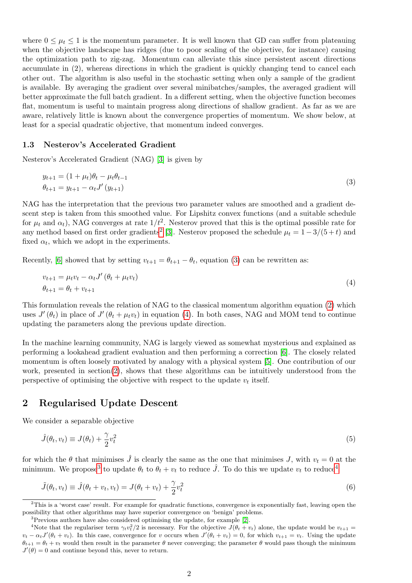where  $0 \leq \mu_t \leq 1$  is the momentum parameter. It is well known that GD can suffer from plateauing when the objective landscape has ridges (due to poor scaling of the objective, for instance) causing the optimization path to zig-zag. Momentum can alleviate this since persistent ascent directions accumulate in (2), whereas directions in which the gradient is quickly changing tend to cancel each other out. The algorithm is also useful in the stochastic setting when only a sample of the gradient is available. By averaging the gradient over several minibatches/samples, the averaged gradient will better approximate the full batch gradient. In a different setting, when the objective function becomes flat, momentum is useful to maintain progress along directions of shallow gradient. As far as we are aware, relatively little is known about the convergence properties of momentum. We show below, at least for a special quadratic objective, that momentum indeed converges.

### 1.3 Nesterov's Accelerated Gradient

Nesterov's Accelerated Gradient (NAG) [\[3\]](#page-7-0) is given by

<span id="page-1-1"></span>
$$
y_{t+1} = (1 + \mu_t)\theta_t - \mu_t \theta_{t-1}
$$
  
\n
$$
\theta_{t+1} = y_{t+1} - \alpha_t J'(y_{t+1})
$$
\n(3)

NAG has the interpretation that the previous two parameter values are smoothed and a gradient descent step is taken from this smoothed value. For Lipshitz convex functions (and a suitable schedule for  $\mu_t$  and  $\alpha_t$ ), NAG converges at rate  $1/t^2$ . Nesterov proved that this is the optimal possible rate for any method based on first order gradients<sup>[2](#page-1-0)</sup> [\[3\]](#page-7-0). Nesterov proposed the schedule  $\mu_t = 1 - 3/(5 + t)$  and fixed  $\alpha_t$ , which we adopt in the experiments.

Recently, [\[6\]](#page-7-3) showed that by setting  $v_{t+1} = \theta_{t+1} - \theta_t$ , equation [\(3\)](#page-1-1) can be rewritten as:

<span id="page-1-2"></span>
$$
v_{t+1} = \mu_t v_t - \alpha_t J' (\theta_t + \mu_t v_t)
$$
  
\n
$$
\theta_{t+1} = \theta_t + v_{t+1}
$$
\n(4)

This formulation reveals the relation of NAG to the classical momentum algorithm equation [\(2\)](#page-0-1) which uses  $J'(\theta_t)$  in place of  $J'(\theta_t + \mu_t v_t)$  in equation [\(4\)](#page-1-2). In both cases, NAG and MOM tend to continue updating the parameters along the previous update direction.

In the machine learning community, NAG is largely viewed as somewhat mysterious and explained as performing a lookahead gradient evaluation and then performing a correction [\[6\]](#page-7-3). The closely related momentum is often loosely motivated by analogy with a physical system [\[5\]](#page-7-1). One contribution of our work, presented in section[\(2\)](#page-1-3), shows that these algorithms can be intuitively understood from the perspective of optimising the objective with respect to the update  $v_t$  itself.

### <span id="page-1-3"></span>2 Regularised Update Descent

We consider a separable objective

$$
\hat{J}(\theta_t, v_t) \equiv J(\theta_t) + \frac{\gamma}{2}v_t^2
$$
\n(5)

for which the  $\theta$  that minimises  $\hat{J}$  is clearly the same as the one that minimises J, with  $v_t = 0$  at the minimum. We propose<sup>[3](#page-1-4)</sup> to update  $\theta_t$  to  $\theta_t + v_t$  to reduce  $\hat{J}$ . To do this we update  $v_t$  to reduce<sup>[4](#page-1-5)</sup>

$$
\tilde{J}(\theta_t, v_t) \equiv \hat{J}(\theta_t + v_t, v_t) = J(\theta_t + v_t) + \frac{\gamma}{2}v_t^2
$$
\n(6)

<span id="page-1-0"></span><sup>&</sup>lt;sup>2</sup>This is a 'worst case' result. For example for quadratic functions, convergence is exponentially fast, leaving open the possibility that other algorithms may have superior convergence on 'benign' problems.

<span id="page-1-5"></span><span id="page-1-4"></span><sup>3</sup>Previous authors have also considered optimising the update, for example [\[2\]](#page-7-4).

<sup>&</sup>lt;sup>4</sup>Note that the regulariser term  $\gamma_t v_t^2/2$  is necessary. For the objective  $J(\theta_t + v_t)$  alone, the update would be  $v_{t+1} =$  $v_t - \alpha_t J'(\theta_t + v_t)$ . In this case, convergence for v occurs when  $J'(\theta_t + v_t) = 0$ , for which  $v_{t+1} = v_t$ . Using the update  $\theta_{t+1} = \theta_t + v_t$  would then result in the parameter  $\theta$  never converging; the parameter  $\theta$  would pass though the minimum  $J'(\theta) = 0$  and continue beyond this, never to return.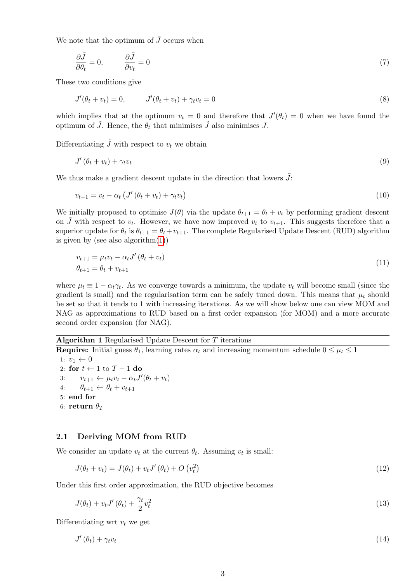We note that the optimum of  $\tilde{J}$  occurs when

$$
\frac{\partial \tilde{J}}{\partial \theta_t} = 0, \qquad \frac{\partial \tilde{J}}{\partial v_t} = 0 \tag{7}
$$

These two conditions give

$$
J'(\theta_t + v_t) = 0, \qquad J'(\theta_t + v_t) + \gamma_t v_t = 0 \tag{8}
$$

which implies that at the optimum  $v_t = 0$  and therefore that  $J'(\theta_t) = 0$  when we have found the optimum of J. Hence, the  $\theta_t$  that minimises J also minimises J.

Differentiating  $\tilde{J}$  with respect to  $v_t$  we obtain

$$
J'(\theta_t + v_t) + \gamma_t v_t \tag{9}
$$

We thus make a gradient descent update in the direction that lowers  $\tilde{J}$ :

$$
v_{t+1} = v_t - \alpha_t \left( J' \left( \theta_t + v_t \right) + \gamma_t v_t \right) \tag{10}
$$

We initially proposed to optimise  $J(\theta)$  via the update  $\theta_{t+1} = \theta_t + v_t$  by performing gradient descent on  $\tilde{J}$  with respect to  $v_t$ . However, we have now improved  $v_t$  to  $v_{t+1}$ . This suggests therefore that a superior update for  $\theta_t$  is  $\theta_{t+1} = \theta_t + v_{t+1}$ . The complete Regularised Update Descent (RUD) algorithm is given by (see also algorithm $(1)$ )

$$
v_{t+1} = \mu_t v_t - \alpha_t J' (\theta_t + v_t) \n\theta_{t+1} = \theta_t + v_{t+1}
$$
\n(11)

where  $\mu_t \equiv 1 - \alpha_t \gamma_t$ . As we converge towards a minimum, the update  $v_t$  will become small (since the gradient is small) and the regularisation term can be safely tuned down. This means that  $\mu_t$  should be set so that it tends to 1 with increasing iterations. As we will show below one can view MOM and NAG as approximations to RUD based on a first order expansion (for MOM) and a more accurate second order expansion (for NAG).

### Algorithm 1 Regularised Update Descent for  $T$  iterations

<span id="page-2-0"></span>**Require:** Initial guess  $\theta_1$ , learning rates  $\alpha_t$  and increasing momentum schedule  $0 \leq \mu_t \leq 1$ 1:  $v_1 \leftarrow 0$ 2: for  $t \leftarrow 1$  to  $T - 1$  do 3:  $v_{t+1} \leftarrow \mu_t v_t - \alpha_t J'(\theta_t + v_t)$ 4:  $\theta_{t+1} \leftarrow \theta_t + v_{t+1}$ 5: end for 6: return  $\theta_T$ 

### 2.1 Deriving MOM from RUD

We consider an update  $v_t$  at the current  $\theta_t$ . Assuming  $v_t$  is small:

$$
J(\theta_t + v_t) = J(\theta_t) + v_t J'(\theta_t) + O\left(v_t^2\right)
$$
\n
$$
(12)
$$

Under this first order approximation, the RUD objective becomes

$$
J(\theta_t) + v_t J'(\theta_t) + \frac{\gamma_t}{2} v_t^2 \tag{13}
$$

Differentiating wrt  $v_t$  we get

$$
J'(\theta_t) + \gamma_t v_t \tag{14}
$$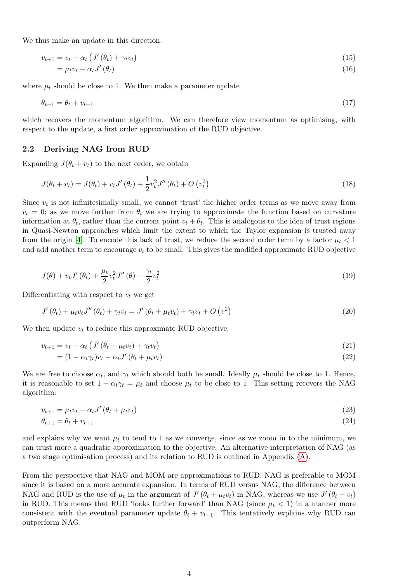We thus make an update in this direction:

$$
v_{t+1} = v_t - \alpha_t \left( J'(\theta_t) + \gamma_t v_t \right) \tag{15}
$$

$$
=\mu_t v_t - \alpha_t J'(\theta_t) \tag{16}
$$

where  $\mu_t$  should be close to 1. We then make a parameter update

$$
\theta_{t+1} = \theta_t + v_{t+1} \tag{17}
$$

which recovers the momentum algorithm. We can therefore view momentum as optimising, with respect to the update, a first order approximation of the RUD objective.

#### 2.2 Deriving NAG from RUD

Expanding  $J(\theta_t + v_t)$  to the next order, we obtain

$$
J(\theta_t + v_t) = J(\theta_t) + v_t J'(\theta_t) + \frac{1}{2} v_t^2 J''(\theta_t) + O(v_t^3)
$$
\n
$$
(18)
$$

Since  $v_t$  is not infinitesimally small, we cannot 'trust' the higher order terms as we move away from  $v_t = 0$ ; as we move further from  $\theta_t$  we are trying to approximate the function based on curvature information at  $\theta_t$ , rather than the current point  $v_t + \theta_t$ . This is analogous to the idea of trust regions in Quasi-Newton approaches which limit the extent to which the Taylor expansion is trusted away from the origin [\[4\]](#page-7-2). To encode this lack of trust, we reduce the second order term by a factor  $\mu_t < 1$ and add another term to encourage  $v_t$  to be small. This gives the modified approximate RUD objective

$$
J(\theta) + v_t J'(\theta_t) + \frac{\mu_t}{2} v_t^2 J''(\theta) + \frac{\gamma_t}{2} v_t^2
$$
\n
$$
\tag{19}
$$

Differentiating with respect to  $v_t$  we get

$$
J'(\theta_t) + \mu_t v_t J''(\theta_t) + \gamma_t v_t = J'(\theta_t + \mu_t v_t) + \gamma_t v_t + O(v^2)
$$
\n
$$
(20)
$$

We then update  $v_t$  to reduce this approximate RUD objective:

$$
v_{t+1} = v_t - \alpha_t \left( J' \left( \theta_t + \mu_t v_t \right) + \gamma_t v_t \right) \tag{21}
$$

$$
= (1 - \alpha_t \gamma_t) v_t - \alpha_t J' (\theta_t + \mu_t v_t)
$$
\n
$$
(22)
$$

We are free to choose  $\alpha_t$ , and  $\gamma_t$  which should both be small. Ideally  $\mu_t$  should be close to 1. Hence, it is reasonable to set  $1 - \alpha_t \gamma_t = \mu_t$  and choose  $\mu_t$  to be close to 1. This setting recovers the NAG algorithm:

$$
v_{t+1} = \mu_t v_t - \alpha_t J' \left(\theta_t + \mu_t v_t\right) \tag{23}
$$

$$
\theta_{t+1} = \theta_t + v_{t+1} \tag{24}
$$

and explains why we want  $\mu_t$  to tend to 1 as we converge, since as we zoom in to the minimum, we can trust more a quadratic approximation to the objective. An alternative interpretation of NAG (as a two stage optimisation process) and its relation to RUD is outlined in Appendix [\(A\)](#page-7-5).

From the perspective that NAG and MOM are approximations to RUD, NAG is preferable to MOM since it is based on a more accurate expansion. In terms of RUD versus NAG, the difference between NAG and RUD is the use of  $\mu_t$  in the argument of  $J'(\theta_t + \mu_t v_t)$  in NAG, whereas we use  $J'(\theta_t + v_t)$ in RUD. This means that RUD 'looks further forward' than NAG (since  $\mu_t < 1$ ) in a manner more consistent with the eventual parameter update  $\theta_t + v_{t+1}$ . This tentatively explains why RUD can outperform NAG.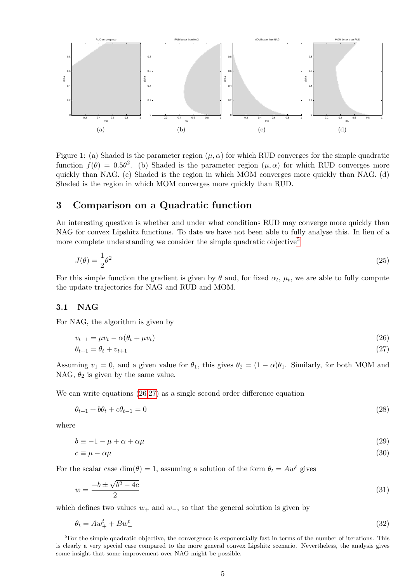

<span id="page-4-3"></span>Figure 1: (a) Shaded is the parameter region  $(\mu, \alpha)$  for which RUD converges for the simple quadratic function  $f(\theta) = 0.5\theta^2$ . (b) Shaded is the parameter region  $(\mu, \alpha)$  for which RUD converges more quickly than NAG. (c) Shaded is the region in which MOM converges more quickly than NAG. (d) Shaded is the region in which MOM converges more quickly than RUD.

### <span id="page-4-4"></span>3 Comparison on a Quadratic function

An interesting question is whether and under what conditions RUD may converge more quickly than NAG for convex Lipshitz functions. To date we have not been able to fully analyse this. In lieu of a more complete understanding we consider the simple quadratic objective<sup>[5](#page-4-0)</sup>

$$
J(\theta) = \frac{1}{2}\theta^2\tag{25}
$$

For this simple function the gradient is given by  $\theta$  and, for fixed  $\alpha_t$ ,  $\mu_t$ , we are able to fully compute the update trajectories for NAG and RUD and MOM.

### 3.1 NAG

For NAG, the algorithm is given by

<span id="page-4-2"></span><span id="page-4-1"></span>
$$
v_{t+1} = \mu v_t - \alpha(\theta_t + \mu v_t) \tag{26}
$$

$$
\theta_{t+1} = \theta_t + v_{t+1} \tag{27}
$$

Assuming  $v_1 = 0$ , and a given value for  $\theta_1$ , this gives  $\theta_2 = (1 - \alpha)\theta_1$ . Similarly, for both MOM and NAG,  $\theta_2$  is given by the same value.

We can write equations  $(26,27)$  $(26,27)$  as a single second order difference equation

$$
\theta_{t+1} + b\theta_t + c\theta_{t-1} = 0\tag{28}
$$

where

$$
b \equiv -1 - \mu + \alpha + \alpha \mu \tag{29}
$$

$$
c \equiv \mu - \alpha \mu \tag{30}
$$

For the scalar case  $\dim(\theta) = 1$ , assuming a solution of the form  $\theta_t = Aw^t$  gives

$$
w = \frac{-b \pm \sqrt{b^2 - 4c}}{2} \tag{31}
$$

which defines two values  $w_+$  and  $w_-,$  so that the general solution is given by

$$
\theta_t = Aw_+^t + Bw_-^t \tag{32}
$$

<span id="page-4-0"></span><sup>&</sup>lt;sup>5</sup>For the simple quadratic objective, the convergence is exponentially fast in terms of the number of iterations. This is clearly a very special case compared to the more general convex Lipshitz scenario. Nevertheless, the analysis gives some insight that some improvement over NAG might be possible.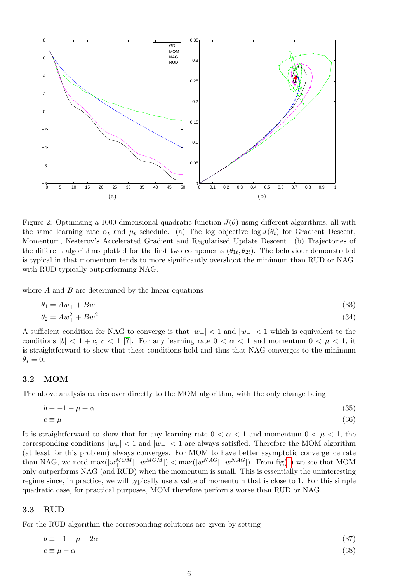

<span id="page-5-0"></span>Figure 2: Optimising a 1000 dimensional quadratic function  $J(\theta)$  using different algorithms, all with the same learning rate  $\alpha_t$  and  $\mu_t$  schedule. (a) The log objective log  $J(\theta_t)$  for Gradient Descent, Momentum, Nesterov's Accelerated Gradient and Regularised Update Descent. (b) Trajectories of the different algorithms plotted for the first two components  $(\theta_{1t}, \theta_{2t})$ . The behaviour demonstrated is typical in that momentum tends to more significantly overshoot the minimum than RUD or NAG, with RUD typically outperforming NAG.

where  $A$  and  $B$  are determined by the linear equations

$$
\theta_1 = Aw_+ + Bw_- \tag{33}
$$

$$
\theta_2 = Aw_+^2 + Bw_-^2 \tag{34}
$$

A sufficient condition for NAG to converge is that  $|w_+| < 1$  and  $|w_-| < 1$  which is equivalent to the conditions  $|b| < 1 + c$ ,  $c < 1$  [\[7\]](#page-7-6). For any learning rate  $0 < \alpha < 1$  and momentum  $0 < \mu < 1$ , it is straightforward to show that these conditions hold and thus that NAG converges to the minimum  $\theta_* = 0.$ 

### 3.2 MOM

The above analysis carries over directly to the MOM algorithm, with the only change being

$$
b \equiv -1 - \mu + \alpha \tag{35}
$$

$$
c \equiv \mu \tag{36}
$$

It is straightforward to show that for any learning rate  $0 < \alpha < 1$  and momentum  $0 < \mu < 1$ , the corresponding conditions  $|w_+| < 1$  and  $|w_-| < 1$  are always satisfied. Therefore the MOM algorithm (at least for this problem) always converges. For MOM to have better asymptotic convergence rate than NAG, we need  $\max(|w_+^{MOM}|, |w_-^{MOM}|) < \max(|w_+^{NAG}|, |w_-^{NAG}|)$ . From fig[\(1\)](#page-4-3) we see that MOM only outperforms NAG (and RUD) when the momentum is small. This is essentially the uninteresting regime since, in practice, we will typically use a value of momentum that is close to 1. For this simple quadratic case, for practical purposes, MOM therefore performs worse than RUD or NAG.

### 3.3 RUD

For the RUD algorithm the corresponding solutions are given by setting

$$
b \equiv -1 - \mu + 2\alpha \tag{37}
$$
  

$$
c \equiv \mu - \alpha \tag{38}
$$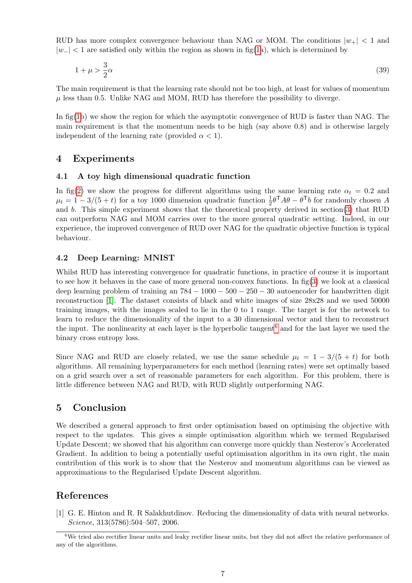RUD has more complex convergence behaviour than NAG or MOM. The conditions  $|w_+| < 1$  and  $|w-| < 1$  are satisfied only within the region as shown in fig[\(1a](#page-4-3)), which is determined by

$$
1 + \mu > \frac{3}{2}\alpha \tag{39}
$$

The main requirement is that the learning rate should not be too high, at least for values of momentum  $\mu$  less than 0.5. Unlike NAG and MOM, RUD has therefore the possibility to diverge.

In fig[\(1b](#page-4-3)) we show the region for which the asymptotic convergence of RUD is faster than NAG. The main requirement is that the momentum needs to be high (say above 0.8) and is otherwise largely independent of the learning rate (provided  $\alpha < 1$ ).

### 4 Experiments

### 4.1 A toy high dimensional quadratic function

In fig[\(2\)](#page-5-0) we show the progress for different algorithms using the same learning rate  $\alpha_t = 0.2$  and  $\mu_t = 1 - 3/(5 + t)$  for a toy 1000 dimension quadratic function  $\frac{1}{2}\theta^T A \theta - \theta^T b$  for randomly chosen A and b. This simple experiment shows that the theoretical property derived in section[\(3\)](#page-4-4) that RUD can outperform NAG and MOM carries over to the more general quadratic setting. Indeed, in our experience, the improved convergence of RUD over NAG for the quadratic objective function is typical behaviour.

### 4.2 Deep Learning: MNIST

Whilst RUD has interesting convergence for quadratic functions, in practice of course it is important to see how it behaves in the case of more general non-convex functions. In  $\text{fig}(3)$  $\text{fig}(3)$  we look at a classical deep learning problem of training an  $784 - 1000 - 500 - 250 - 30$  autoencoder for handwritten digit reconstruction [\[1\]](#page-6-0). The dataset consists of black and white images of size 28x28 and we used 50000 training images, with the images scaled to lie in the 0 to 1 range. The target is for the network to learn to reduce the dimensionality of the input to a 30 dimensional vector and then to reconstruct the input. The nonlinearity at each layer is the hyperbolic tangent<sup>[6](#page-6-1)</sup> and for the last layer we used the binary cross entropy loss.

Since NAG and RUD are closely related, we use the same schedule  $\mu_t = 1 - 3/(5 + t)$  for both algorithms. All remaining hyperparameters for each method (learning rates) were set optimally based on a grid search over a set of reasonable parameters for each algorithm. For this problem, there is little difference between NAG and RUD, with RUD slightly outperforming NAG.

# 5 Conclusion

We described a general approach to first order optimisation based on optimising the objective with respect to the updates. This gives a simple optimisation algorithm which we termed Regularised Update Descent; we showed that his algorithm can converge more quickly than Nesterov's Accelerated Gradient. In addition to being a potentially useful optimisation algorithm in its own right, the main contribution of this work is to show that the Nesterov and momentum algorithms can be viewed as approximations to the Regularised Update Descent algorithm.

# References

<span id="page-6-0"></span>[1] G. E. Hinton and R. R Salakhutdinov. Reducing the dimensionality of data with neural networks. Science, 313(5786):504–507, 2006.

<span id="page-6-1"></span><sup>&</sup>lt;sup>6</sup>We tried also rectifier linear units and leaky rectifier linear units, but they did not affect the relative performance of any of the algorithms.